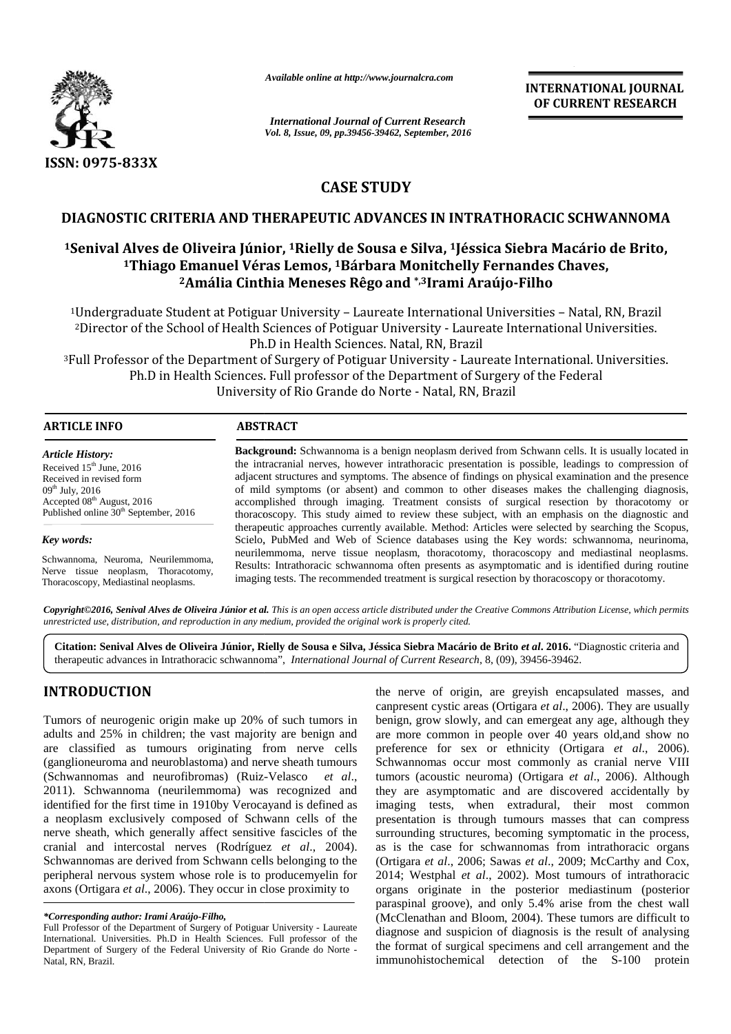

*Available online at http://www.journalcra.com*

*International Journal of Current Research Vol. 8, Issue, 09, pp.39456-39462, September, 2016* **INTERNATIONAL JOURNAL OF CURRENT RESEARCH**

# **CASE STUDY**

## **DIAGNOSTIC CRITERIA AND THERAPEUTIC ADVANCES IN INTRATHORACIC SCHWANNOMA**

## **<sup>1</sup>Senival Alves de Oliveira Júnior, <sup>1</sup>Rielly de Sousa e Silva, <sup>1</sup>Jéssica Siebra Macário de Brito, 11Macário de <sup>1</sup>Thiago Emanuel Véras Lemos, <sup>1</sup>Bárbara Monitchelly Fernandes Chaves, 1Bárbara <sup>2</sup>Amália Cinthia Meneses Rêgo and \*,3Irami Araújo-Filho**

<sup>1</sup>Undergraduate Student at Potiguar University – Laureate International Universities – Natal, RN, Brazil at Potiguar – Laureate <sup>2</sup>Director of the School of Health Sciences of Potiguar University - Laureate International Universities. Ph.D in Health Sciences. Natal, RN, Brazil

<sup>3</sup>Full Professor of the Department of Surgery of Potiguar University - Laureate International. Universities. Ph.D in Health Sciences. Full professor of the Department of Surgery of the Federal I Health Sciences of Potiguar University - Laureate Intern<br>Ph.D in Health Sciences. Natal, RN, Brazil<br>Internet of Surgery of Potiguar University - Laureate Inter<br>Sciences. Full professor of the Department of Surgery of t<br>U

| <b>ARTICLE INFO</b>        | <b>ABSTRACT</b>                                                                                         |
|----------------------------|---------------------------------------------------------------------------------------------------------|
| <b>Article History:</b>    | <b>Background:</b> Schwannoma is a benign neoplasm derived from Schwann cells. It is usually located in |
| Received $15th$ June, 2016 | the intracranial nerves, however intrathoracic presentation is possible, leadings to compression of     |
| Received in revised form   | adjacent structures and symptoms. The absence of findings on physical examination and the presence      |
| $09th$ July, 2016          | of mild symptoms (or absent) and common to other diseases makes the challenging diagnosis,              |

Accepted 08<sup>th</sup> August, 2016 Published online 30<sup>th</sup> September, 2016

*Key words: words:*

Schwannoma, Neuroma, Neurilemmoma, Nerve tissue neoplasm, Thoracotomy, Thoracoscopy, Mediastinal neoplasms. Schwannoma,<br>Nerve tissue<br>Thoracoscopy,

accomplished through imaging. Treatment consists of surgical resection by thoracotomy or thoracoscopy. This study aimed to review these subject, with an emphasis on the diagnostic and therapeutic approaches currently available. Method: Articles were selected by searching the Scopus, Scielo, PubMed and Web of Science databases using the Key words: schwannoma, neurinoma, neurilemmoma, nerve tissue neoplasm, thoracotomy, thoracoscopy and mediastinal neoplasms. Results: Intrathoracic schwannoma often presents as asymptomatic and is identified during routine imaging tests. The recommended treatment is surgical resection by thoracoscopy or thoracotomy. **Background:** Schwannoma is a benign neoplasm derived from Schwann cells. It is usually located in the intracranial nerves, however intrathoracic presentation is possible, leadings to compression of adjacent structures and Scielo, PubMed and Web of Science databases using the Key words: schwannoma, neurilemmoma, nerve tissue neoplasm, thoracoscopy, thoracoscopy and mediastinal Results: Intrathoracic schwannoma often presents as asymptomatic blished online 30<sup>am</sup> September, 2016<br>
therapeutic approaches currently available. Method: Articles were selected by searching<br> **Citation:** Scielo, PubMed and Web of Science databases using the Key words:<br> **Citation:** Neur

**Copyright©2016, Senival Alves de Oliveira Júnior et al.** This is an open access article distributed under the Creative Commons Attribution License, which permits<br>unrestricted use, distribution, and reproduction in any med *unrestricted use, distribution, and reproduction in any medium, provided the original work is properly cited.*

**Citation: Senival Alves de Oliveira Júnior, Rielly de Sousa e Silva, Jéssica Siebra Macário de Brito** *et al***. 2016.** "Diagnostic criteria and therapeutic advances in Intrathoracic schwannoma", *International Journal of Current Research*, 8, (09), 39456-39462.

## **INTRODUCTION INTRODUCTION**

Tumors of neurogenic origin make up 20% of such tumors in adults and 25% in children; the vast majority are benign and are classified as tumours originating from nerve cells Tumors of neurogenic origin make up 20% of such tumors in ben adults and 25% in children; the vast majority are benign and are classified as tumours originating from nerve cells pre (ganglioneuroma and neuroblastoma) and n (Schwannomas and neurofibromas) (Ruiz-Velasco *et al*., 2011). Schwannoma (neurilemmoma) was recognized and (Schwannomas and neurofibromas) (Ruiz-Velasco *et al.*, tun 2011). Schwannoma (neurilemmoma) was recognized and the identified for the first time in 1910by Verocayand is defined as image. a neoplasm exclusively composed of Schwann cells of the nerve sheath, which generally affect sensitive fascicles of the cranial and intercostal nerves (Rodríguez *et al*., 2004). Schwannomas are derived from Schwann cells belonging to the peripheral nervous system whose role is to producemyelin for axons (Ortigara *et al*., 2006). They occur in close proximity to a neoplasm exclusively composed of Schwann cells of the nerve sheath, which generally affect sensitive fascicles of the cranial and intercostal nerves (Rodríguez *et al.*, 2004 Schwannomas are derived from Schwann cells be online 30<sup>th</sup> September, 2016<br>
the rapeatic applications (the selection Propentic applications (the MoMel<br>
size is non a Neurillemmonna, neurillemmonna<br>
size neoplasm, Thoracotomy, Results: Intrattopy, Mediastinal neoplasm

the nerve of origin, are greyish encapsulated masses, and canpresent cystic areas (Ortigara *et al*., 2006). They are usually benign, grow slowly, and can emergeat any age, although they are more common in people over 40 years old,and show no preference for sex or ethnicity (Ortigara *et al*., 2006). Schwannomas occur most commonly as cranial nerve VIII tumors (acoustic neuroma) (Ortigara *et al*., 2006). Although they are asymptomatic and are discovered accidentally by imaging tests, when extradural, their most common presentation is through tumours masses that can compress surrounding structures, becoming symptomatic in the process, as is the case for schwannomas from intrathoracic organs (Ortigara *et al*., 2006; Sawas *et al*., 2009; McCarthy and Cox, 2014; Westphal *et al*., 2002). Most tumours of intrathoracic organs originate in the posterior mediastinum (posterior paraspinal groove), and only 5.4% arise from the chest wall (McClenathan and Bloom, 2004). These tumors are difficult to diagnose and suspicion of diagnosis is the result of analysing the format of surgical specimens and cell arrangement and the immunohistochemical detection of the S-100 protein A THE METAL IS a strengthenial of the strengthenial of the metallic of the strengthenial of the strengthenial of the strengthenial of the strengthenial of the strengthenial of the strengthenial of the strengthenial of the

*<sup>\*</sup>Corresponding author: Irami Araújo-Filho, \*Corresponding Irami Araújo-Filho,*

Full Professor of the Department of Surgery of Potiguar University - Laureate International. Universities. Ph.D in Health Sciences. Full professor of the Department of Surgery of the Federal University of Rio Grande do Norte -Natal, RN, Brazil.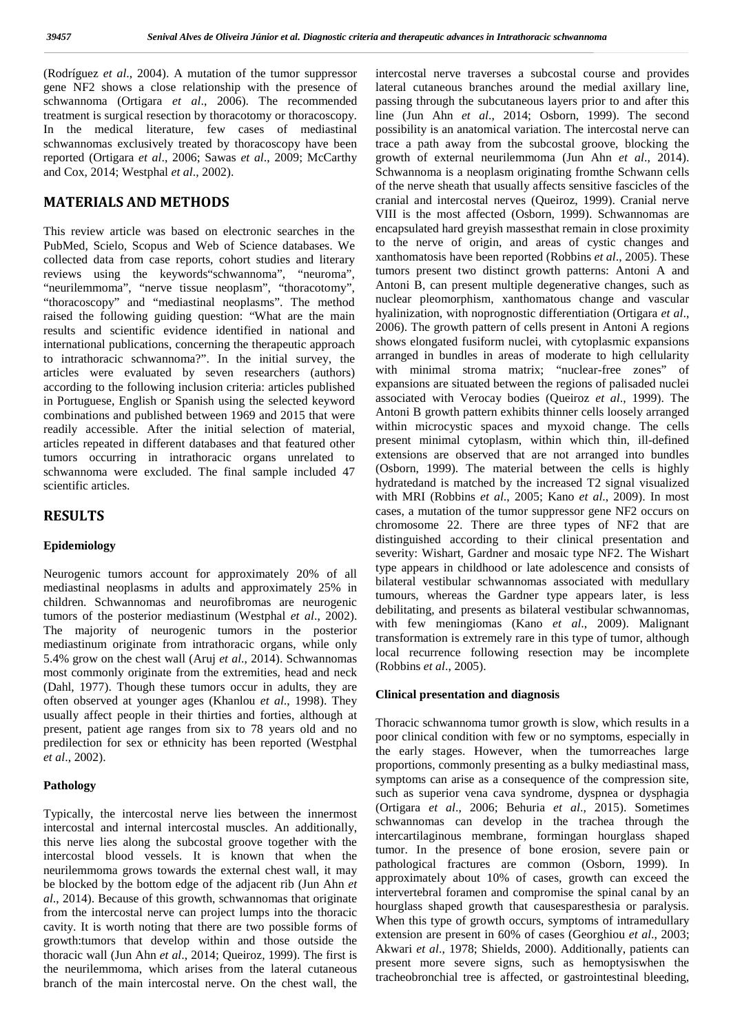(Rodríguez *et al*., 2004). A mutation of the tumor suppressor gene NF2 shows a close relationship with the presence of schwannoma (Ortigara *et al*., 2006). The recommended treatment is surgical resection by thoracotomy or thoracoscopy. In the medical literature, few cases of mediastinal schwannomas exclusively treated by thoracoscopy have been reported (Ortigara *et al*., 2006; Sawas *et al*., 2009; McCarthy and Cox, 2014; Westphal *et al*., 2002).

## **MATERIALS AND METHODS**

This review article was based on electronic searches in the PubMed, Scielo, Scopus and Web of Science databases. We collected data from case reports, cohort studies and literary reviews using the keywords"schwannoma", "neuroma", "neurilemmoma", "nerve tissue neoplasm", "thoracotomy", "thoracoscopy" and "mediastinal neoplasms". The method raised the following guiding question: "What are the main results and scientific evidence identified in national and international publications, concerning the therapeutic approach to intrathoracic schwannoma?". In the initial survey, the articles were evaluated by seven researchers (authors) according to the following inclusion criteria: articles published in Portuguese, English or Spanish using the selected keyword combinations and published between 1969 and 2015 that were readily accessible. After the initial selection of material, articles repeated in different databases and that featured other tumors occurring in intrathoracic organs unrelated to schwannoma were excluded. The final sample included 47 scientific articles.

## **RESULTS**

### **Epidemiology**

Neurogenic tumors account for approximately 20% of all mediastinal neoplasms in adults and approximately 25% in children. Schwannomas and neurofibromas are neurogenic tumors of the posterior mediastinum (Westphal *et al*., 2002). The majority of neurogenic tumors in the posterior mediastinum originate from intrathoracic organs, while only 5.4% grow on the chest wall (Aruj *et al*., 2014). Schwannomas most commonly originate from the extremities, head and neck (Dahl, 1977). Though these tumors occur in adults, they are often observed at younger ages (Khanlou *et al*., 1998). They usually affect people in their thirties and forties, although at present, patient age ranges from six to 78 years old and no predilection for sex or ethnicity has been reported (Westphal *et al*., 2002).

#### **Pathology**

Typically, the intercostal nerve lies between the innermost intercostal and internal intercostal muscles. An additionally, this nerve lies along the subcostal groove together with the intercostal blood vessels. It is known that when the neurilemmoma grows towards the external chest wall, it may be blocked by the bottom edge of the adjacent rib (Jun Ahn *et al*., 2014). Because of this growth, schwannomas that originate from the intercostal nerve can project lumps into the thoracic cavity. It is worth noting that there are two possible forms of growth:tumors that develop within and those outside the thoracic wall (Jun Ahn *et al*., 2014; Queiroz, 1999). The first is the neurilemmoma, which arises from the lateral cutaneous branch of the main intercostal nerve. On the chest wall, the

intercostal nerve traverses a subcostal course and provides lateral cutaneous branches around the medial axillary line, passing through the subcutaneous layers prior to and after this line (Jun Ahn *et al*., 2014; Osborn, 1999). The second possibility is an anatomical variation. The intercostal nerve can trace a path away from the subcostal groove, blocking the growth of external neurilemmoma (Jun Ahn *et al*., 2014). Schwannoma is a neoplasm originating fromthe Schwann cells of the nerve sheath that usually affects sensitive fascicles of the cranial and intercostal nerves (Queiroz, 1999). Cranial nerve VIII is the most affected (Osborn, 1999). Schwannomas are encapsulated hard greyish massesthat remain in close proximity to the nerve of origin, and areas of cystic changes and xanthomatosis have been reported (Robbins *et al*., 2005). These tumors present two distinct growth patterns: Antoni A and Antoni B, can present multiple degenerative changes, such as nuclear pleomorphism, xanthomatous change and vascular hyalinization, with noprognostic differentiation (Ortigara *et al*., 2006). The growth pattern of cells present in Antoni A regions shows elongated fusiform nuclei, with cytoplasmic expansions arranged in bundles in areas of moderate to high cellularity with minimal stroma matrix; "nuclear-free zones" of expansions are situated between the regions of palisaded nuclei associated with Verocay bodies (Queiroz *et al*., 1999). The Antoni B growth pattern exhibits thinner cells loosely arranged within microcystic spaces and myxoid change. The cells present minimal cytoplasm, within which thin, ill-defined extensions are observed that are not arranged into bundles (Osborn, 1999). The material between the cells is highly hydratedand is matched by the increased T2 signal visualized with MRI (Robbins *et al*., 2005; Kano *et al*., 2009). In most cases, a mutation of the tumor suppressor gene NF2 occurs on chromosome 22. There are three types of NF2 that are distinguished according to their clinical presentation and severity: Wishart, Gardner and mosaic type NF2. The Wishart type appears in childhood or late adolescence and consists of bilateral vestibular schwannomas associated with medullary tumours, whereas the Gardner type appears later, is less debilitating, and presents as bilateral vestibular schwannomas, with few meningiomas (Kano *et al*., 2009). Malignant transformation is extremely rare in this type of tumor, although local recurrence following resection may be incomplete (Robbins *et al*., 2005).

#### **Clinical presentation and diagnosis**

Thoracic schwannoma tumor growth is slow, which results in a poor clinical condition with few or no symptoms, especially in the early stages. However, when the tumorreaches large proportions, commonly presenting as a bulky mediastinal mass, symptoms can arise as a consequence of the compression site, such as superior vena cava syndrome, dyspnea or dysphagia (Ortigara *et al*., 2006; Behuria *et al*., 2015). Sometimes schwannomas can develop in the trachea through the intercartilaginous membrane, formingan hourglass shaped tumor. In the presence of bone erosion, severe pain or pathological fractures are common (Osborn, 1999). In approximately about 10% of cases, growth can exceed the intervertebral foramen and compromise the spinal canal by an hourglass shaped growth that causesparesthesia or paralysis. When this type of growth occurs, symptoms of intramedullary extension are present in 60% of cases (Georghiou *et al*., 2003; Akwari *et al*., 1978; Shields, 2000). Additionally, patients can present more severe signs, such as hemoptysiswhen the tracheobronchial tree is affected, or gastrointestinal bleeding,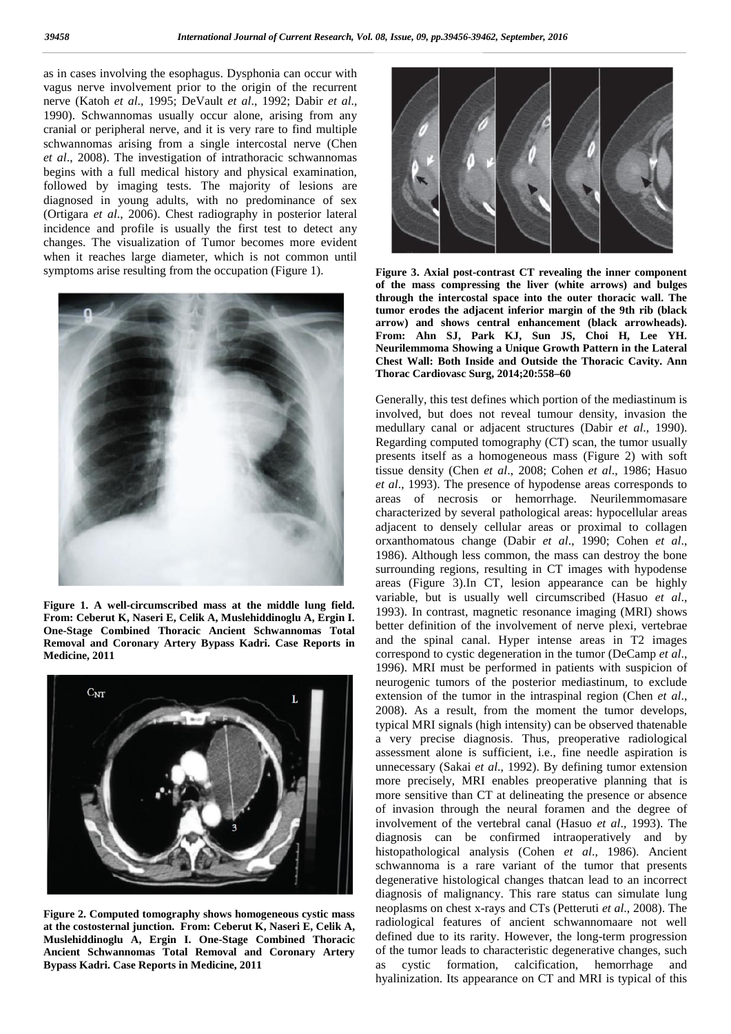as in cases involving the esophagus. Dysphonia can occur with vagus nerve involvement prior to the origin of the recurrent nerve (Katoh *et al*., 1995; DeVault *et al*., 1992; Dabir *et al*., 1990). Schwannomas usually occur alone, arising from any cranial or peripheral nerve, and it is very rare to find multiple schwannomas arising from a single intercostal nerve (Chen *et al*., 2008). The investigation of intrathoracic schwannomas begins with a full medical history and physical examination, followed by imaging tests. The majority of lesions are diagnosed in young adults, with no predominance of sex (Ortigara *et al*., 2006). Chest radiography in posterior lateral incidence and profile is usually the first test to detect any changes. The visualization of Tumor becomes more evident when it reaches large diameter, which is not common until symptoms arise resulting from the occupation (Figure 1).



**Figure 1. A well-circumscribed mass at the middle lung field. From: Ceberut K, Naseri E, Celik A, Muslehiddinoglu A, Ergin I. One-Stage Combined Thoracic Ancient Schwannomas Total Removal and Coronary Artery Bypass Kadri. Case Reports in Medicine, 2011**



**Figure 2. Computed tomography shows homogeneous cystic mass at the costosternal junction. From: Ceberut K, Naseri E, Celik A, Muslehiddinoglu A, Ergin I. One-Stage Combined Thoracic Ancient Schwannomas Total Removal and Coronary Artery Bypass Kadri. Case Reports in Medicine, 2011**



**Figure 3. Axial post-contrast CT revealing the inner component of the mass compressing the liver (white arrows) and bulges through the intercostal space into the outer thoracic wall. The tumor erodes the adjacent inferior margin of the 9th rib (black arrow) and shows central enhancement (black arrowheads). From: Ahn SJ, Park KJ, Sun JS, Choi H, Lee YH. Neurilemmoma Showing a Unique Growth Pattern in the Lateral Chest Wall: Both Inside and Outside the Thoracic Cavity. Ann Thorac Cardiovasc Surg, 2014;20:558–60**

Generally, this test defines which portion of the mediastinum is involved, but does not reveal tumour density, invasion the medullary canal or adjacent structures (Dabir *et al*., 1990). Regarding computed tomography (CT) scan, the tumor usually presents itself as a homogeneous mass (Figure 2) with soft tissue density (Chen *et al*., 2008; Cohen *et al*., 1986; Hasuo *et al*., 1993). The presence of hypodense areas corresponds to areas of necrosis or hemorrhage. Neurilemmomasare characterized by several pathological areas: hypocellular areas adjacent to densely cellular areas or proximal to collagen orxanthomatous change (Dabir *et al*., 1990; Cohen *et al*., 1986). Although less common, the mass can destroy the bone surrounding regions, resulting in CT images with hypodense areas (Figure 3).In CT, lesion appearance can be highly variable, but is usually well circumscribed (Hasuo *et al*., 1993). In contrast, magnetic resonance imaging (MRI) shows better definition of the involvement of nerve plexi, vertebrae and the spinal canal. Hyper intense areas in T2 images correspond to cystic degeneration in the tumor (DeCamp *et al*., 1996). MRI must be performed in patients with suspicion of neurogenic tumors of the posterior mediastinum, to exclude extension of the tumor in the intraspinal region (Chen *et al*., 2008). As a result, from the moment the tumor develops, typical MRI signals (high intensity) can be observed thatenable a very precise diagnosis. Thus, preoperative radiological assessment alone is sufficient, i.e., fine needle aspiration is unnecessary (Sakai *et al*., 1992). By defining tumor extension more precisely, MRI enables preoperative planning that is more sensitive than CT at delineating the presence or absence of invasion through the neural foramen and the degree of involvement of the vertebral canal (Hasuo *et al*., 1993). The diagnosis can be confirmed intraoperatively and by histopathological analysis (Cohen *et al*., 1986). Ancient schwannoma is a rare variant of the tumor that presents degenerative histological changes thatcan lead to an incorrect diagnosis of malignancy. This rare status can simulate lung neoplasms on chest x-rays and CTs (Petteruti *et al*., 2008). The radiological features of ancient schwannomaare not well defined due to its rarity. However, the long-term progression of the tumor leads to characteristic degenerative changes, such as cystic formation, calcification, hemorrhage and hyalinization. Its appearance on CT and MRI is typical of this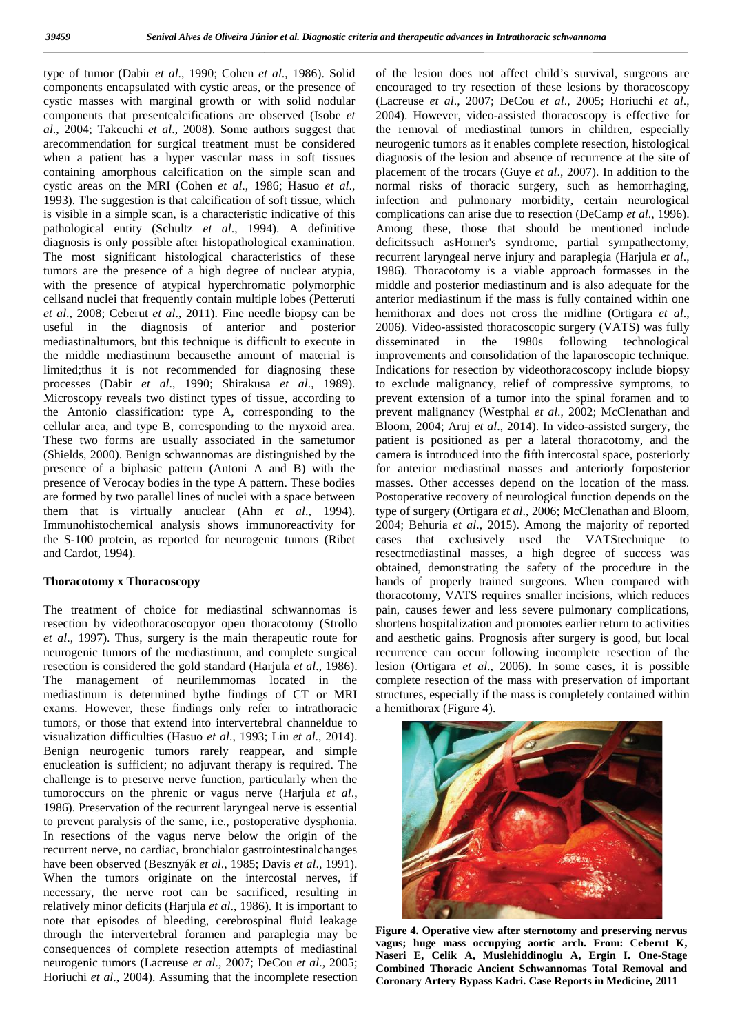type of tumor (Dabir *et al*., 1990; Cohen *et al*., 1986). Solid components encapsulated with cystic areas, or the presence of cystic masses with marginal growth or with solid nodular components that presentcalcifications are observed (Isobe *et* al., 2004; Takeuchi et al., 2008). Some authors suggest that t arecommendation for surgical treatment must be considered when a patient has a hyper vascular mass in soft tissues containing amorphous calcification on the simple scan and cystic areas on the MRI (Cohen *et al*., 1986; Hasuo *et al*., 1993). The suggestion is that calcification of soft tissue, which is visible in a simple scan, is a characteristic indicative of this pathological entity (Schultz *et al*., 1994). A definitive diagnosis is only possible after histopathological examination. The most significant histological characteristics of these recumors are the presence of a high degree of nuclear atypia, 198 with the presence of atypical hyperchromatic polymorphic mid cellsand nuclei that frequently cont tumors are the presence of a high degree of nuclear atypia, with the presence of atypical hyperchromatic polymorphic cellsand nuclei that frequently contain multiple lobes (Petteruti *et al*., 2008; Ceberut *et al*., 2011). Fine needle biopsy can be useful in the diagnosis of anterior and posterior mediastinaltumors, but this technique is difficult to execute in the middle mediastinum becausethe amount of material is limited;thus it is not recommended for diagnosing these processes (Dabir *et al*., 1990; Shirakusa *et al*., 1989). Microscopy reveals two distinct types of tissue, according to the Antonio classification: type A, corresponding to the cellular area, and type B, corresponding to the myxoid area. These two forms are usually associated in the sametumor (Shields, 2000). Benign schwannomas are distinguished by the presence of a biphasic pattern (Antoni A and B) with the presence of Verocay bodies in the type A pattern. These bodies are formed by two parallel lines of nuclei with a space between them that is virtually anuclear (Ahn *et al*., 1994). These two forms are usually associated in the sametumor<br>
(Shields, 2000). Benign schwannomas are distinguished by the<br>
presence of Verocay bodies in the type A pattern. These bodies<br>
mare formed by two parallel lines of n the S-100 protein, as reported for neurogenic tumors (Ribet the S-100 protein, as and Cardot, 1994). type of tumor (Dabir *et al.*, 1990; Cohen *et al.*, 1986). Sc<br>components encapsulated with cystic areas, or the presence<br>cystic masses with marginal growth or with solid nodu<br>components that presentcalcifications are obse arecommendation for surgical treatment must be considere when a patient has a hyper vascular mass in soft tissue containing amorphous calcification on the simple scan an cystic areas on the MRI (Cohen *et al.*, 1986; Hasuo 1993). The suggestion is that calcification of soft tissue, which<br>is visible in a simple scan, is a characteristic indicative of this<br>pathological entity (Schultz *et al.*, 1994). A definitive<br>diagnosis is only possible a *et al.*, 2008; Ceberut *et al.*, 2011). Fine needle biopsy can be hen useful in the diagnosis of anterior and posterior 200 mediastinaltumors, but this technique is difficult to execute in diss the middle mediastinum beca processes (Dabir *et al.*, 1990; Shirakusa *et al.*, 1989). to a Microscopy reveals two distinct types of tissue, according to prev<br>the Antonio classification: type A, corresponding to the prev

#### **Thoracotomy x Thoracoscopy Thoracotomy**

The treatment of choice for mediastinal schwannomas is The treatment of choice for mediastinal schwannomas is pain, resection by videothoracoscopyor open thoracotomy (Strollo short *et al*., 1997). Thus, surgery is the main therapeutic route for neurogenic tumors of the mediastinum, and complete surgical resection is considered the gold standard (Harjula *et al*., 1986). *et* is neurogenic resection gold The management of neurilemmomas located in the mediastinum is determined bythe findings of CT or MRI exams. However, these findings only refer to intrathoracic tumors, or those that extend into intervertebral channeldue to visualization difficulties (Hasuo *et al*., 1993; Liu *et al*., 2014). Benign neurogenic tumors rarely reappear, and simple enucleation is sufficient; no adjuvant therapy is required. The challenge is to preserve nerve function, particularly when the tumoroccurs on the phrenic or vagus nerve (Harjula *et al*., 1986). Preservation of the recurrent laryngeal nerve is essential to prevent paralysis of the same, i.e., postoperative dysphonia. In resections of the vagus nerve below the origin of the recurrent nerve, no cardiac, bronchialor gastrointestinalchanges have been observed (Besznyák *et al*., 1985; Davis *et al*., 1991). When the tumors originate on the intercostal nerves, if necessary, the nerve root can be sacrificed, resulting in relatively minor deficits (Harjula *et al*., 1986). It is important to note that episodes of bleeding, cerebrospinal fluid leakage through the intervertebral foramen and paraplegia may be consequences of complete resection attempts of mediastinal neurogenic tumors (Lacreuse *et al*., 2007; DeCou *et al*., 2005; Horiuchi *et al*., 2004). Assuming that the incomplete resection The management of neurilemmomas located in the mediastinum is determined bythe findings of CT or MRI exams. However, these findings only refer to intrathoracic tumors, or those that extend into intervertebral channeldue to Benign neurogenic tumors rarely reappear, and sinenucleation is sufficient; no adjuvant therapy is required.<br>challenge is to preserve nerve function, particularly when<br>tumoroccurs on the phrenic or vagus nerve (Harjula *et* 1986). Preservation of the recurrent laryngeal nerve is e<br>to prevent paralysis of the same, i.e., postoperative dys<br>In resections of the vagus nerve below the origin<br>recurrent nerve, no cardiac, bronchialor gastrointestina When the tumors originate on the intercostal nerves, if<br>necessary, the nerve root can be sacrificed, resulting in<br>relatively minor deficits (Harjula *et al.*, 1986). It is important to<br>note that episodes of bleeding, cere

of the lesion does not affect child's survival, surgeons are encouraged to try resection of these lesions by thoracoscopy (Lacreuse *et al*., 2007; DeCou *et al*., 2005; Horiuchi *et al*., 2004). However, video-assisted thoracoscopy is effective for the removal of mediastinal tumors in children, especially neurogenic tumors as it enables complete resection, histological diagnosis of the lesion and absence of recurrence at the site of placement of the trocars (Guye *et al*., 2007). In addition to the normal risks of thoracic surgery, such as hemorrhaging, infection and pulmonary morbidity, certain neurological complications can arise due to resection (DeCamp *et al*., 1996). Among these, those that should be mentioned include deficitssuch asHorner's syndrome, partial sympathectomy, recurrent laryngeal nerve injury and paraplegia (Harjula *et al*., 1986). Thoracotomy is a viable approach formasses in the middle and posterior mediastinum and is also adequate for the anterior mediastinum if the mass is fully contained within one hemithorax and does not cross the midline (Ortigara *et al*., 2006). Video-assisted thoracoscopic surgery (VATS) was fully disseminated in the 1980s following technological improvements and consolidation of the laparoscopic technique. Indications for resection by videothoracoscopy include biopsy to exclude malignancy, relief of compressive symptoms, to prevent extension of a tumor into the spinal foramen and to prevent malignancy (Westphal *et al*., 2002; McClenathan and Bloom, 2004; Aruj *et al*., 2014). In video-assisted surgery, the patient is positioned as per a lateral thoracotomy, and the camera is introduced into the fifth intercostal space, posteriorly for anterior mediastinal masses and anteriorly forposterior masses. Other accesses depend on the location of the mass. Postoperative recovery of neurological function depends on the type of surgery (Ortigara *et al*., 2006; McClenathan and Bloom, 2004; Behuria *et al*., 2015). Among the majority of reported cases that exclusively used the VATStechnique to resectmediastinal masses, a high degree of success was obtained, demonstrating the safety of the procedure in the hands of properly trained surgeons. When compared with thoracotomy, VATS requires smaller incisions, which reduces pain, causes fewer and less severe pulmonary complications, shortens hospitalization and promotes earlier return to activities and aesthetic gains. Prognosis after surgery is good, but local recurrence can occur following incomplete resection of the lesion (Ortigara *et al*., 2006). In some cases, it is possible complete resection of the mass with preservation of important structures, especially if the mass is completely contained within a hemithorax (Figure 4). yps of the rate of the control of the rate of the bin finite since the since the rate of the control of the rate of the since the rate of the control of the rate of the rate of the rate of the rate of the rate of the rate **The Consolidation of the Consolidation of the Consolidation of Case Consolidation of Case Consolidation of Case Consolidation of Case Consolidation of Case Consolidation of Case Consolidation of Case Consolidation of Case** 



**Figure 4. Operative view after sternotomy and preserving nervus vagus; huge mass occupying aortic arch. From: Ceberut K, Naseri E, Celik A, Muslehiddinoglu A, Ergin I. One-Stage Combined Thoracic Ancient Schwannomas Total Removal and Coronary Artery Bypass Kadri. Case Reports in Medicine, 2011**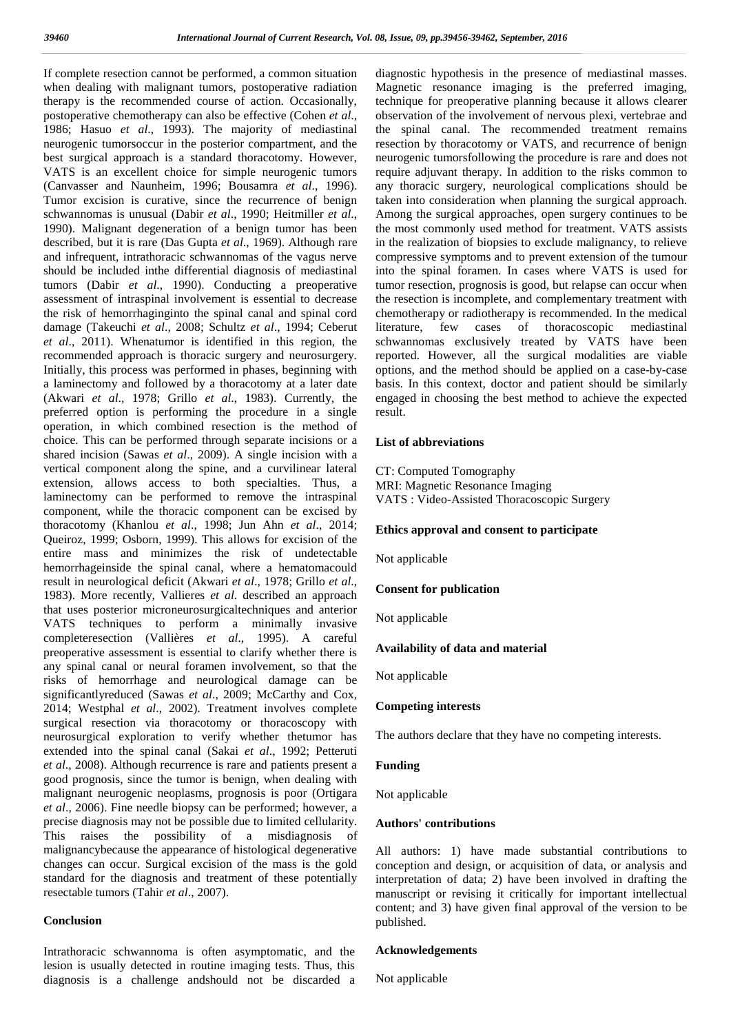If complete resection cannot be performed, a common situation when dealing with malignant tumors, postoperative radiation therapy is the recommended course of action. Occasionally, postoperative chemotherapy can also be effective (Cohen *et al*., 1986; Hasuo *et al*., 1993). The majority of mediastinal neurogenic tumorsoccur in the posterior compartment, and the best surgical approach is a standard thoracotomy. However, VATS is an excellent choice for simple neurogenic tumors (Canvasser and Naunheim, 1996; Bousamra *et al*., 1996). Tumor excision is curative, since the recurrence of benign schwannomas is unusual (Dabir *et al*., 1990; Heitmiller *et al*., 1990). Malignant degeneration of a benign tumor has been described, but it is rare (Das Gupta *et al*., 1969). Although rare and infrequent, intrathoracic schwannomas of the vagus nerve should be included inthe differential diagnosis of mediastinal tumors (Dabir *et al*., 1990). Conducting a preoperative assessment of intraspinal involvement is essential to decrease the risk of hemorrhaginginto the spinal canal and spinal cord damage (Takeuchi *et al*., 2008; Schultz *et al*., 1994; Ceberut *et al*., 2011). Whenatumor is identified in this region, the recommended approach is thoracic surgery and neurosurgery. Initially, this process was performed in phases, beginning with a laminectomy and followed by a thoracotomy at a later date (Akwari *et al*., 1978; Grillo *et al*., 1983). Currently, the preferred option is performing the procedure in a single operation, in which combined resection is the method of choice. This can be performed through separate incisions or a shared incision (Sawas *et al*., 2009). A single incision with a vertical component along the spine, and a curvilinear lateral extension, allows access to both specialties. Thus, a laminectomy can be performed to remove the intraspinal component, while the thoracic component can be excised by thoracotomy (Khanlou *et al*., 1998; Jun Ahn *et al*., 2014; Queiroz, 1999; Osborn, 1999). This allows for excision of the entire mass and minimizes the risk of undetectable hemorrhageinside the spinal canal, where a hematomacould result in neurological deficit (Akwari *et al*., 1978; Grillo *et al*., 1983). More recently, Vallieres *et al*. described an approach that uses posterior microneurosurgicaltechniques and anterior VATS techniques to perform a minimally invasive completeresection (Vallières *et al*., 1995). A careful preoperative assessment is essential to clarify whether there is any spinal canal or neural foramen involvement, so that the risks of hemorrhage and neurological damage can be significantlyreduced (Sawas *et al*., 2009; McCarthy and Cox, 2014; Westphal *et al*., 2002). Treatment involves complete surgical resection via thoracotomy or thoracoscopy with neurosurgical exploration to verify whether thetumor has extended into the spinal canal (Sakai *et al*., 1992; Petteruti *et al*., 2008). Although recurrence is rare and patients present a good prognosis, since the tumor is benign, when dealing with malignant neurogenic neoplasms, prognosis is poor (Ortigara *et al*., 2006). Fine needle biopsy can be performed; however, a precise diagnosis may not be possible due to limited cellularity. This raises the possibility of a misdiagnosis of malignancybecause the appearance of histological degenerative changes can occur. Surgical excision of the mass is the gold standard for the diagnosis and treatment of these potentially resectable tumors (Tahir *et al*., 2007).

### **Conclusion**

Intrathoracic schwannoma is often asymptomatic, and the lesion is usually detected in routine imaging tests. Thus, this diagnosis is a challenge andshould not be discarded a diagnostic hypothesis in the presence of mediastinal masses. Magnetic resonance imaging is the preferred imaging, technique for preoperative planning because it allows clearer observation of the involvement of nervous plexi, vertebrae and the spinal canal. The recommended treatment remains resection by thoracotomy or VATS, and recurrence of benign neurogenic tumorsfollowing the procedure is rare and does not require adjuvant therapy. In addition to the risks common to any thoracic surgery, neurological complications should be taken into consideration when planning the surgical approach. Among the surgical approaches, open surgery continues to be the most commonly used method for treatment. VATS assists in the realization of biopsies to exclude malignancy, to relieve compressive symptoms and to prevent extension of the tumour into the spinal foramen. In cases where VATS is used for tumor resection, prognosis is good, but relapse can occur when the resection is incomplete, and complementary treatment with chemotherapy or radiotherapy is recommended. In the medical cases of thoracoscopic mediastinal schwannomas exclusively treated by VATS have been reported. However, all the surgical modalities are viable options, and the method should be applied on a case-by-case basis. In this context, doctor and patient should be similarly engaged in choosing the best method to achieve the expected result.

#### **List of abbreviations**

CT: Computed Tomography MRI: Magnetic Resonance Imaging VATS : Video-Assisted Thoracoscopic Surgery

#### **Ethics approval and consent to participate**

Not applicable

#### **Consent for publication**

Not applicable

#### **Availability of data and material**

Not applicable

#### **Competing interests**

The authors declare that they have no competing interests.

#### **Funding**

Not applicable

#### **Authors' contributions**

All authors: 1) have made substantial contributions to conception and design, or acquisition of data, or analysis and interpretation of data; 2) have been involved in drafting the manuscript or revising it critically for important intellectual content; and 3) have given final approval of the version to be published.

#### **Acknowledgements**

Not applicable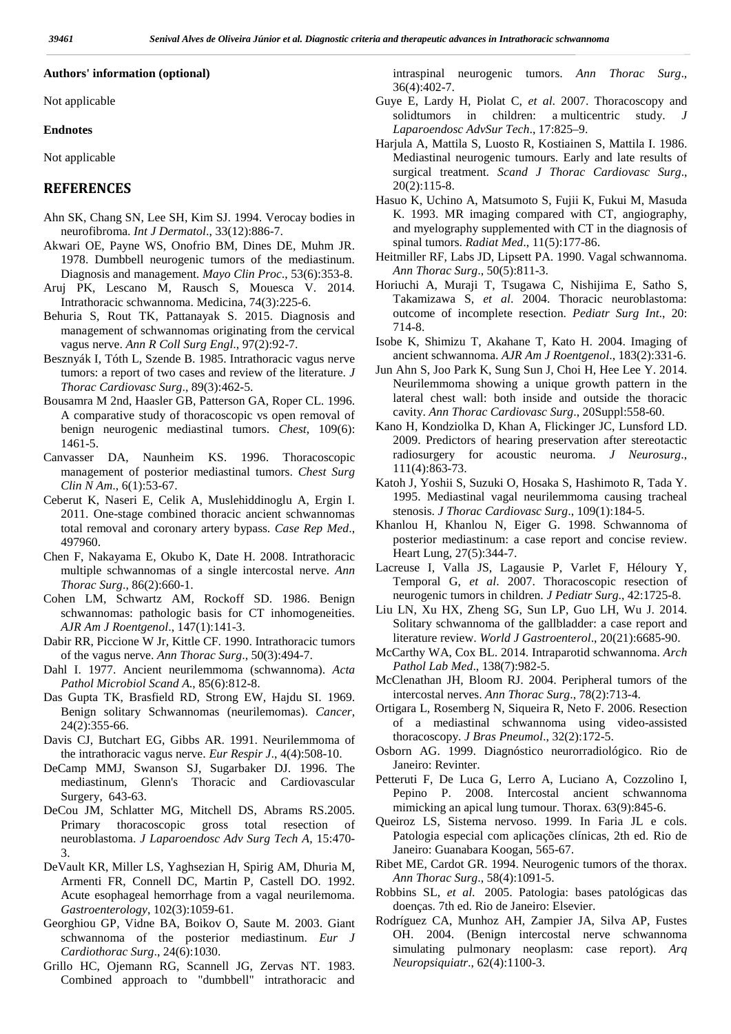#### **Authors' information (optional)**

Not applicable

#### **Endnotes**

Not applicable

### **REFERENCES**

- Ahn SK, Chang SN, Lee SH, Kim SJ. 1994. Verocay bodies in neurofibroma. *Int J Dermatol*., 33(12):886-7.
- Akwari OE, Payne WS, Onofrio BM, Dines DE, Muhm JR. 1978. Dumbbell neurogenic tumors of the mediastinum. Diagnosis and management. *Mayo Clin Proc*., 53(6):353-8.
- Aruj PK, Lescano M, Rausch S, Mouesca V. 2014. Intrathoracic schwannoma. Medicina, 74(3):225-6.
- Behuria S, Rout TK, Pattanayak S. 2015. Diagnosis and management of schwannomas originating from the cervical vagus nerve. *Ann R Coll Surg Engl*., 97(2):92-7.
- Besznyák I, Tóth L, Szende B. 1985. Intrathoracic vagus nerve tumors: a report of two cases and review of the literature. *J Thorac Cardiovasc Surg*., 89(3):462-5.
- Bousamra M 2nd, Haasler GB, Patterson GA, Roper CL. 1996. A comparative study of thoracoscopic vs open removal of benign neurogenic mediastinal tumors. *Chest*, 109(6): 1461-5.
- Canvasser DA, Naunheim KS. 1996. Thoracoscopic management of posterior mediastinal tumors. *Chest Surg Clin N Am*., 6(1):53-67.
- Ceberut K, Naseri E, Celik A, Muslehiddinoglu A, Ergin I. 2011. One-stage combined thoracic ancient schwannomas total removal and coronary artery bypass. *Case Rep Med*., 497960.
- Chen F, Nakayama E, Okubo K, Date H. 2008. Intrathoracic multiple schwannomas of a single intercostal nerve. *Ann Thorac Surg*., 86(2):660-1.
- Cohen LM, Schwartz AM, Rockoff SD. 1986. Benign schwannomas: pathologic basis for CT inhomogeneities. *AJR Am J Roentgenol*., 147(1):141-3.
- Dabir RR, Piccione W Jr, Kittle CF. 1990. Intrathoracic tumors of the vagus nerve. *Ann Thorac Surg*., 50(3):494-7.
- Dahl I. 1977. Ancient neurilemmoma (schwannoma). *Acta Pathol Microbiol Scand A*., 85(6):812-8.
- Das Gupta TK, Brasfield RD, Strong EW, Hajdu SI. 1969. Benign solitary Schwannomas (neurilemomas). *Cancer*, 24(2):355-66.
- Davis CJ, Butchart EG, Gibbs AR. 1991. Neurilemmoma of the intrathoracic vagus nerve. *Eur Respir J*., 4(4):508-10.
- DeCamp MMJ, Swanson SJ, Sugarbaker DJ. 1996. The mediastinum, Glenn's Thoracic and Cardiovascular Surgery, 643-63.
- DeCou JM, Schlatter MG, Mitchell DS, Abrams RS.2005. Primary thoracoscopic gross total resection of neuroblastoma. *J Laparoendosc Adv Surg Tech A,* 15:470- 3.
- DeVault KR, Miller LS, Yaghsezian H, Spirig AM, Dhuria M, Armenti FR, Connell DC, Martin P, Castell DO. 1992. Acute esophageal hemorrhage from a vagal neurilemoma. *Gastroenterology*, 102(3):1059-61.
- Georghiou GP, Vidne BA, Boikov O, Saute M. 2003. Giant schwannoma of the posterior mediastinum. *Eur J Cardiothorac Surg*., 24(6):1030.
- Grillo HC, Ojemann RG, Scannell JG, Zervas NT. 1983. Combined approach to "dumbbell" intrathoracic and

intraspinal neurogenic tumors. *Ann Thorac Surg*., 36(4):402-7.

- Guye E, Lardy H, Piolat C, *et al*. 2007. Thoracoscopy and solidtumors in children: a multicentric study. *J Laparoendosc AdvSur Tech*., 17:825–9.
- Harjula A, Mattila S, Luosto R, Kostiainen S, Mattila I. 1986. Mediastinal neurogenic tumours. Early and late results of surgical treatment. *Scand J Thorac Cardiovasc Surg*., 20(2):115-8.
- Hasuo K, Uchino A, Matsumoto S, Fujii K, Fukui M, Masuda K. 1993. MR imaging compared with CT, angiography, and myelography supplemented with CT in the diagnosis of spinal tumors. *Radiat Med*., 11(5):177-86.
- Heitmiller RF, Labs JD, Lipsett PA. 1990. Vagal schwannoma. *Ann Thorac Surg*., 50(5):811-3.
- Horiuchi A, Muraji T, Tsugawa C, Nishijima E, Satho S, Takamizawa S, *et al*. 2004. Thoracic neuroblastoma: outcome of incomplete resection. *Pediatr Surg Int*., 20: 714-8.
- Isobe K, Shimizu T, Akahane T, Kato H. 2004. Imaging of ancient schwannoma. *AJR Am J Roentgenol*., 183(2):331-6.
- Jun Ahn S, Joo Park K, Sung Sun J, Choi H, Hee Lee Y. 2014. Neurilemmoma showing a unique growth pattern in the lateral chest wall: both inside and outside the thoracic cavity. *Ann Thorac Cardiovasc Surg*., 20Suppl:558-60.
- Kano H, Kondziolka D, Khan A, Flickinger JC, Lunsford LD. 2009. Predictors of hearing preservation after stereotactic radiosurgery for acoustic neuroma. *J Neurosurg*., 111(4):863-73.
- Katoh J, Yoshii S, Suzuki O, Hosaka S, Hashimoto R, Tada Y. 1995. Mediastinal vagal neurilemmoma causing tracheal stenosis. *J Thorac Cardiovasc Surg*., 109(1):184-5.
- Khanlou H, Khanlou N, Eiger G. 1998. Schwannoma of posterior mediastinum: a case report and concise review. Heart Lung, 27(5):344-7.
- Lacreuse I, Valla JS, Lagausie P, Varlet F, Héloury Y, Temporal G, *et al*. 2007. Thoracoscopic resection of neurogenic tumors in children. *J Pediatr Surg*., 42:1725-8.
- Liu LN, Xu HX, Zheng SG, Sun LP, Guo LH, Wu J. 2014. Solitary schwannoma of the gallbladder: a case report and literature review. *World J Gastroenterol*., 20(21):6685-90.
- McCarthy WA, Cox BL. 2014. Intraparotid schwannoma. *Arch Pathol Lab Med*., 138(7):982-5.
- McClenathan JH, Bloom RJ. 2004. Peripheral tumors of the intercostal nerves. *Ann Thorac Surg*., 78(2):713-4.
- Ortigara L, Rosemberg N, Siqueira R, Neto F. 2006. Resection of a mediastinal schwannoma using video-assisted thoracoscopy. *J Bras Pneumol*., 32(2):172-5.
- Osborn AG. 1999. Diagnóstico neurorradiológico. Rio de Janeiro: Revinter.
- Petteruti F, De Luca G, Lerro A, Luciano A, Cozzolino I, Pepino P. 2008. Intercostal ancient schwannoma mimicking an apical lung tumour. Thorax. 63(9):845-6.
- Queiroz LS, Sistema nervoso. 1999. In Faria JL e cols. Patologia especial com aplicações clínicas, 2th ed. Rio de Janeiro: Guanabara Koogan, 565-67.
- Ribet ME, Cardot GR. 1994. Neurogenic tumors of the thorax. *Ann Thorac Surg*., 58(4):1091-5.
- Robbins SL, *et al*. 2005. Patologia: bases patológicas das doenças. 7th ed. Rio de Janeiro: Elsevier.
- Rodríguez CA, Munhoz AH, Zampier JA, Silva AP, Fustes OH. 2004. (Benign intercostal nerve schwannoma simulating pulmonary neoplasm: case report). *Arq Neuropsiquiatr*., 62(4):1100-3.